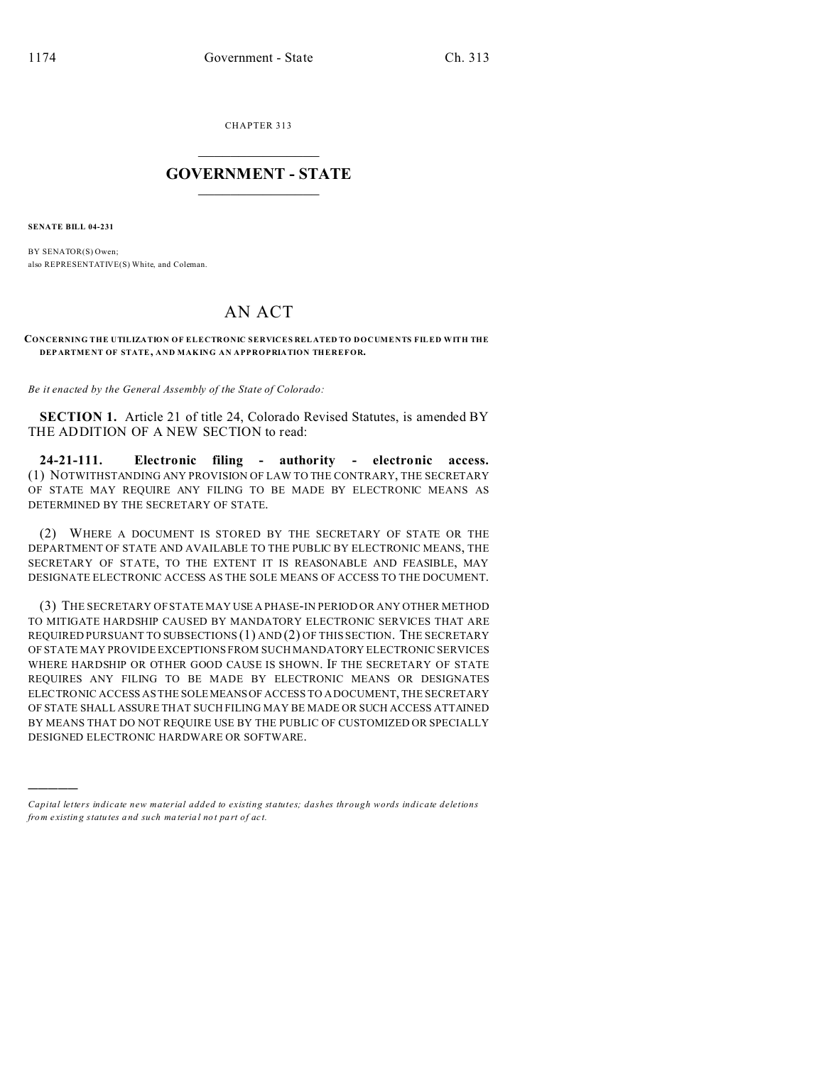CHAPTER 313  $\overline{\phantom{a}}$  , where  $\overline{\phantom{a}}$ 

## **GOVERNMENT - STATE**  $\_$   $\_$

**SENATE BILL 04-231**

)))))

BY SENATOR(S) Owen; also REPRESENTATIVE(S) White, and Coleman.

## AN ACT

**CONCERNING THE UTILIZATION OF ELECTRONIC SERVICES RELATED TO DOCUMENTS FILED WITH THE DEP ARTME NT OF STATE, AND MAKING AN APPROPRIATION THEREFOR.**

*Be it enacted by the General Assembly of the State of Colorado:*

**SECTION 1.** Article 21 of title 24, Colorado Revised Statutes, is amended BY THE ADDITION OF A NEW SECTION to read:

**24-21-111. Electronic filing - authority - electronic access.** (1) NOTWITHSTANDING ANY PROVISION OF LAW TO THE CONTRARY, THE SECRETARY OF STATE MAY REQUIRE ANY FILING TO BE MADE BY ELECTRONIC MEANS AS DETERMINED BY THE SECRETARY OF STATE.

(2) WHERE A DOCUMENT IS STORED BY THE SECRETARY OF STATE OR THE DEPARTMENT OF STATE AND AVAILABLE TO THE PUBLIC BY ELECTRONIC MEANS, THE SECRETARY OF STATE, TO THE EXTENT IT IS REASONABLE AND FEASIBLE, MAY DESIGNATE ELECTRONIC ACCESS AS THE SOLE MEANS OF ACCESS TO THE DOCUMENT.

(3) THE SECRETARY OF STATE MAY USE A PHASE-IN PERIOD OR ANY OTHER METHOD TO MITIGATE HARDSHIP CAUSED BY MANDATORY ELECTRONIC SERVICES THAT ARE REQUIRED PURSUANT TO SUBSECTIONS (1) AND (2) OF THIS SECTION. THE SECRETARY OF STATE MAY PROVIDE EXCEPTIONS FROM SUCH MANDATORY ELECTRONIC SERVICES WHERE HARDSHIP OR OTHER GOOD CAUSE IS SHOWN. IF THE SECRETARY OF STATE REQUIRES ANY FILING TO BE MADE BY ELECTRONIC MEANS OR DESIGNATES ELECTRONIC ACCESS AS THE SOLEMEANSOF ACCESS TO A DOCUMENT, THE SECRETARY OF STATE SHALL ASSURE THAT SUCH FILING MAY BE MADE OR SUCH ACCESS ATTAINED BY MEANS THAT DO NOT REQUIRE USE BY THE PUBLIC OF CUSTOMIZED OR SPECIALLY DESIGNED ELECTRONIC HARDWARE OR SOFTWARE.

*Capital letters indicate new material added to existing statutes; dashes through words indicate deletions from e xistin g statu tes a nd such ma teria l no t pa rt of ac t.*